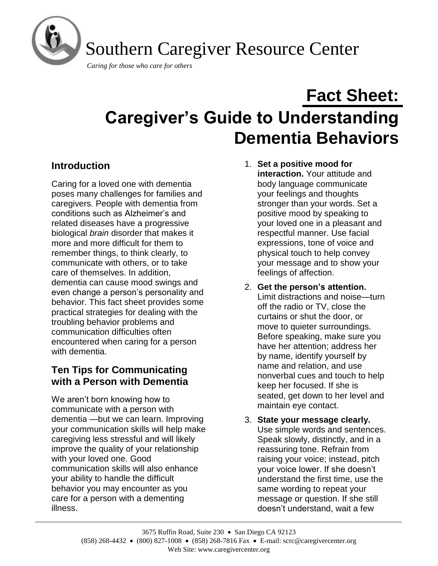

# **Fact Sheet: Caregiver's Guide to Understanding Dementia Behaviors**

# **Introduction**

Caring for a loved one with dementia poses many challenges for families and caregivers. People with dementia from conditions such as Alzheimer's and related diseases have a progressive biological *brain* disorder that makes it more and more difficult for them to remember things, to think clearly, to communicate with others, or to take care of themselves. In addition, dementia can cause mood swings and even change a person's personality and behavior. This fact sheet provides some practical strategies for dealing with the troubling behavior problems and communication difficulties often encountered when caring for a person with dementia.

# **Ten Tips for Communicating with a Person with Dementia**

We aren't born knowing how to communicate with a person with dementia —but we can learn. Improving your communication skills will help make caregiving less stressful and will likely improve the quality of your relationship with your loved one. Good communication skills will also enhance your ability to handle the difficult behavior you may encounter as you care for a person with a dementing illness.

- 1. **Set a positive mood for interaction.** Your attitude and body language communicate your feelings and thoughts stronger than your words. Set a positive mood by speaking to your loved one in a pleasant and respectful manner. Use facial expressions, tone of voice and physical touch to help convey your message and to show your feelings of affection.
- 2. **Get the person's attention.** Limit distractions and noise—turn off the radio or TV, close the curtains or shut the door, or move to quieter surroundings. Before speaking, make sure you have her attention; address her by name, identify yourself by name and relation, and use nonverbal cues and touch to help keep her focused. If she is seated, get down to her level and maintain eye contact.
- 3. **State your message clearly.** Use simple words and sentences. Speak slowly, distinctly, and in a reassuring tone. Refrain from raising your voice; instead, pitch your voice lower. If she doesn't understand the first time, use the same wording to repeat your message or question. If she still doesn't understand, wait a few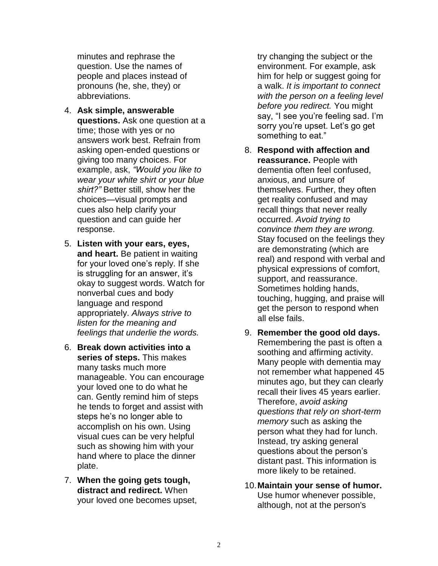minutes and rephrase the question. Use the names of people and places instead of pronouns (he, she, they) or abbreviations.

- 4. **Ask simple, answerable questions.** Ask one question at a time; those with yes or no answers work best. Refrain from asking open-ended questions or giving too many choices. For example, ask, *"Would you like to wear your white shirt or your blue shirt?"* Better still, show her the choices—visual prompts and cues also help clarify your question and can guide her response.
- 5. **Listen with your ears, eyes, and heart.** Be patient in waiting for your loved one's reply. If she is struggling for an answer, it's okay to suggest words. Watch for nonverbal cues and body language and respond appropriately. *Always strive to listen for the meaning and feelings that underlie the words.*
- 6. **Break down activities into a series of steps.** This makes many tasks much more manageable. You can encourage your loved one to do what he can. Gently remind him of steps he tends to forget and assist with steps he's no longer able to accomplish on his own. Using visual cues can be very helpful such as showing him with your hand where to place the dinner plate.
- 7. **When the going gets tough, distract and redirect.** When your loved one becomes upset,

try changing the subject or the environment. For example, ask him for help or suggest going for a walk. *It is important to connect with the person on a feeling level before you redirect.* You might say, "I see you're feeling sad. I'm sorry you're upset. Let's go get something to eat."

- 8. **Respond with affection and reassurance.** People with dementia often feel confused, anxious, and unsure of themselves. Further, they often get reality confused and may recall things that never really occurred. *Avoid trying to convince them they are wrong.* Stay focused on the feelings they are demonstrating (which are real) and respond with verbal and physical expressions of comfort, support, and reassurance. Sometimes holding hands, touching, hugging, and praise will get the person to respond when all else fails.
- 9. **Remember the good old days.** Remembering the past is often a soothing and affirming activity. Many people with dementia may not remember what happened 45 minutes ago, but they can clearly recall their lives 45 years earlier. Therefore, *avoid asking questions that rely on short-term memory* such as asking the person what they had for lunch. Instead, try asking general questions about the person's distant past. This information is more likely to be retained.
- 10.**Maintain your sense of humor.** Use humor whenever possible, although, not at the person's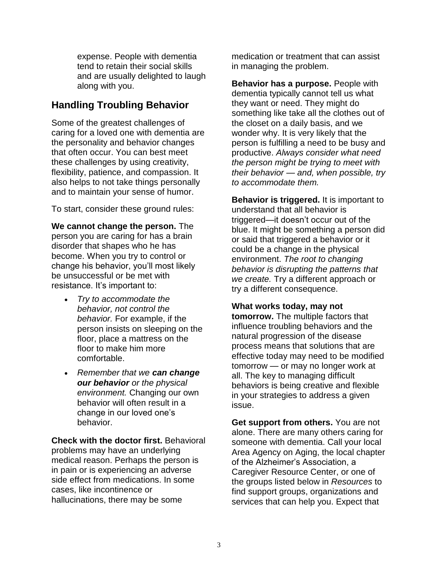expense. People with dementia tend to retain their social skills and are usually delighted to laugh along with you.

# **Handling Troubling Behavior**

Some of the greatest challenges of caring for a loved one with dementia are the personality and behavior changes that often occur. You can best meet these challenges by using creativity, flexibility, patience, and compassion. It also helps to not take things personally and to maintain your sense of humor.

To start, consider these ground rules:

**We cannot change the person.** The person you are caring for has a brain disorder that shapes who he has become. When you try to control or change his behavior, you'll most likely be unsuccessful or be met with resistance. It's important to:

- *Try to accommodate the behavior, not control the behavior.* For example, if the person insists on sleeping on the floor, place a mattress on the floor to make him more comfortable.
- *Remember that we can change our behavior or the physical environment.* Changing our own behavior will often result in a change in our loved one's behavior.

**Check with the doctor first.** Behavioral problems may have an underlying medical reason. Perhaps the person is in pain or is experiencing an adverse side effect from medications. In some cases, like incontinence or hallucinations, there may be some

medication or treatment that can assist in managing the problem.

**Behavior has a purpose.** People with dementia typically cannot tell us what they want or need. They might do something like take all the clothes out of the closet on a daily basis, and we wonder why. It is very likely that the person is fulfilling a need to be busy and productive. *Always consider what need the person might be trying to meet with their behavior* — *and, when possible, try to accommodate them.*

**Behavior is triggered.** It is important to understand that all behavior is triggered—it doesn't occur out of the blue. It might be something a person did or said that triggered a behavior or it could be a change in the physical environment. *The root to changing behavior is disrupting the patterns that we create.* Try a different approach or try a different consequence.

#### **What works today, may not**

**tomorrow.** The multiple factors that influence troubling behaviors and the natural progression of the disease process means that solutions that are effective today may need to be modified tomorrow — or may no longer work at all. The key to managing difficult behaviors is being creative and flexible in your strategies to address a given issue.

**Get support from others.** You are not alone. There are many others caring for someone with dementia. Call your local Area Agency on Aging, the local chapter of the Alzheimer's Association, a Caregiver Resource Center, or one of the groups listed below in *Resources* to find support groups, organizations and services that can help you. Expect that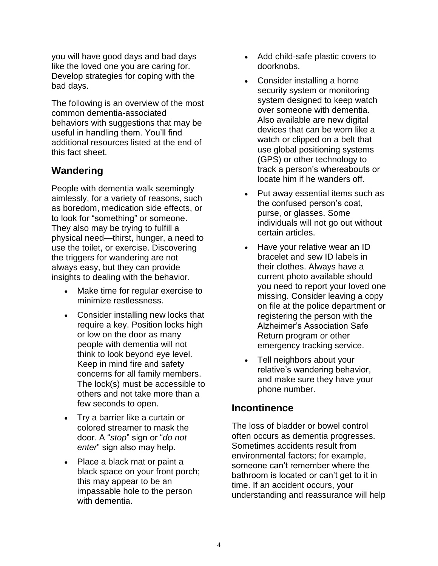you will have good days and bad days like the loved one you are caring for. Develop strategies for coping with the bad days.

The following is an overview of the most common dementia-associated behaviors with suggestions that may be useful in handling them. You'll find additional resources listed at the end of this fact sheet.

# **Wandering**

People with dementia walk seemingly aimlessly, for a variety of reasons, such as boredom, medication side effects, or to look for "something" or someone. They also may be trying to fulfill a physical need—thirst, hunger, a need to use the toilet, or exercise. Discovering the triggers for wandering are not always easy, but they can provide insights to dealing with the behavior.

- Make time for regular exercise to minimize restlessness.
- Consider installing new locks that require a key. Position locks high or low on the door as many people with dementia will not think to look beyond eye level. Keep in mind fire and safety concerns for all family members. The lock(s) must be accessible to others and not take more than a few seconds to open.
- Try a barrier like a curtain or colored streamer to mask the door. A "*stop*" sign or "*do not enter*" sign also may help.
- Place a black mat or paint a black space on your front porch; this may appear to be an impassable hole to the person with dementia.
- Add child-safe plastic covers to doorknobs.
- Consider installing a home security system or monitoring system designed to keep watch over someone with dementia. Also available are new digital devices that can be worn like a watch or clipped on a belt that use global positioning systems (GPS) or other technology to track a person's whereabouts or locate him if he wanders off.
- Put away essential items such as the confused person's coat, purse, or glasses. Some individuals will not go out without certain articles.
- Have your relative wear an ID bracelet and sew ID labels in their clothes. Always have a current photo available should you need to report your loved one missing. Consider leaving a copy on file at the police department or registering the person with the Alzheimer's Association Safe Return program or other emergency tracking service.
- Tell neighbors about your relative's wandering behavior, and make sure they have your phone number.

## **Incontinence**

The loss of bladder or bowel control often occurs as dementia progresses. Sometimes accidents result from environmental factors; for example, someone can't remember where the bathroom is located or can't get to it in time. If an accident occurs, your understanding and reassurance will help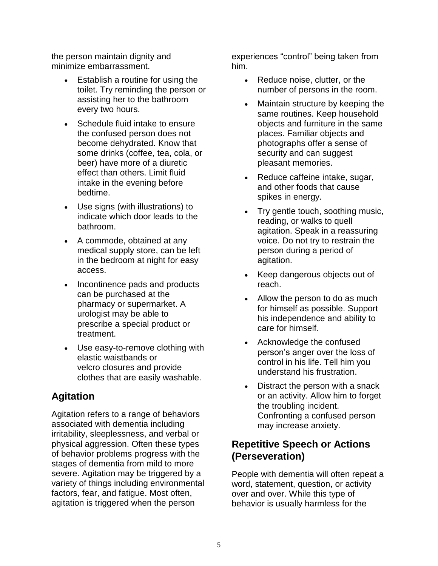the person maintain dignity and minimize embarrassment.

- Establish a routine for using the toilet. Try reminding the person or assisting her to the bathroom every two hours.
- Schedule fluid intake to ensure the confused person does not become dehydrated. Know that some drinks (coffee, tea, cola, or beer) have more of a diuretic effect than others. Limit fluid intake in the evening before bedtime.
- Use signs (with illustrations) to indicate which door leads to the bathroom.
- A commode, obtained at any medical supply store, can be left in the bedroom at night for easy access.
- Incontinence pads and products can be purchased at the pharmacy or supermarket. A urologist may be able to prescribe a special product or treatment.
- Use easy-to-remove clothing with elastic waistbands or velcro closures and provide clothes that are easily washable.

# **Agitation**

Agitation refers to a range of behaviors associated with dementia including irritability, sleeplessness, and verbal or physical aggression. Often these types of behavior problems progress with the stages of dementia from mild to more severe. Agitation may be triggered by a variety of things including environmental factors, fear, and fatigue. Most often, agitation is triggered when the person

experiences "control" being taken from him.

- Reduce noise, clutter, or the number of persons in the room.
- Maintain structure by keeping the same routines. Keep household objects and furniture in the same places. Familiar objects and photographs offer a sense of security and can suggest pleasant memories.
- Reduce caffeine intake, sugar, and other foods that cause spikes in energy.
- Try gentle touch, soothing music, reading, or walks to quell agitation. Speak in a reassuring voice. Do not try to restrain the person during a period of agitation.
- Keep dangerous objects out of reach.
- Allow the person to do as much for himself as possible. Support his independence and ability to care for himself.
- Acknowledge the confused person's anger over the loss of control in his life. Tell him you understand his frustration.
- Distract the person with a snack or an activity. Allow him to forget the troubling incident. Confronting a confused person may increase anxiety.

# **Repetitive Speech or Actions (Perseveration)**

People with dementia will often repeat a word, statement, question, or activity over and over. While this type of behavior is usually harmless for the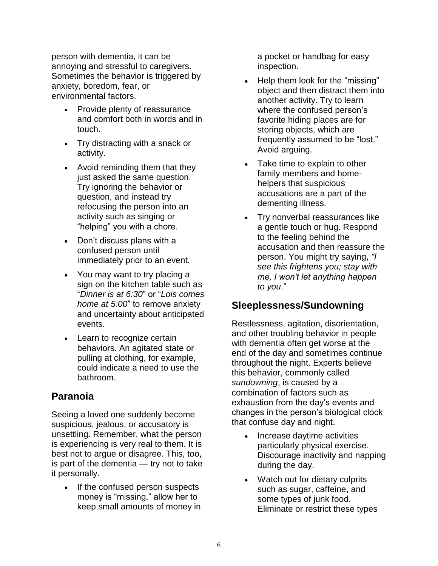person with dementia, it can be annoying and stressful to caregivers. Sometimes the behavior is triggered by anxiety, boredom, fear, or environmental factors.

- Provide plenty of reassurance and comfort both in words and in touch.
- Try distracting with a snack or activity.
- Avoid reminding them that they just asked the same question. Try ignoring the behavior or question, and instead try refocusing the person into an activity such as singing or "helping" you with a chore.
- Don't discuss plans with a confused person until immediately prior to an event.
- You may want to try placing a sign on the kitchen table such as "*Dinner is at 6:30*" or "*Lois comes home at 5:00*" to remove anxiety and uncertainty about anticipated events.
- Learn to recognize certain behaviors. An agitated state or pulling at clothing, for example, could indicate a need to use the bathroom.

# **Paranoia**

Seeing a loved one suddenly become suspicious, jealous, or accusatory is unsettling. Remember, what the person is experiencing is very real to them. It is best not to argue or disagree. This, too, is part of the dementia — try not to take it personally.

If the confused person suspects money is "missing," allow her to keep small amounts of money in

a pocket or handbag for easy inspection.

- Help them look for the "missing" object and then distract them into another activity. Try to learn where the confused person's favorite hiding places are for storing objects, which are frequently assumed to be "lost." Avoid arguing.
- Take time to explain to other family members and homehelpers that suspicious accusations are a part of the dementing illness.
- Try nonverbal reassurances like a gentle touch or hug. Respond to the feeling behind the accusation and then reassure the person. You might try saying, *"I see this frightens you; stay with me, I won't let anything happen to you*."

# **Sleeplessness/Sundowning**

Restlessness, agitation, disorientation, and other troubling behavior in people with dementia often get worse at the end of the day and sometimes continue throughout the night. Experts believe this behavior, commonly called *sundowning*, is caused by a combination of factors such as exhaustion from the day's events and changes in the person's biological clock that confuse day and night.

- Increase daytime activities particularly physical exercise. Discourage inactivity and napping during the day.
- Watch out for dietary culprits such as sugar, caffeine, and some types of junk food. Eliminate or restrict these types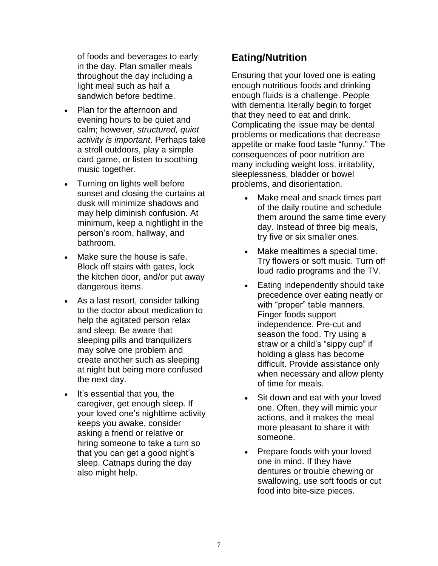of foods and beverages to early in the day. Plan smaller meals throughout the day including a light meal such as half a sandwich before bedtime.

- Plan for the afternoon and evening hours to be quiet and calm; however, *structured, quiet activity is important*. Perhaps take a stroll outdoors, play a simple card game, or listen to soothing music together.
- Turning on lights well before sunset and closing the curtains at dusk will minimize shadows and may help diminish confusion. At minimum, keep a nightlight in the person's room, hallway, and bathroom.
- Make sure the house is safe. Block off stairs with gates, lock the kitchen door, and/or put away dangerous items.
- As a last resort, consider talking to the doctor about medication to help the agitated person relax and sleep. Be aware that sleeping pills and tranquilizers may solve one problem and create another such as sleeping at night but being more confused the next day.
- It's essential that you, the caregiver, get enough sleep. If your loved one's nighttime activity keeps you awake, consider asking a friend or relative or hiring someone to take a turn so that you can get a good night's sleep. Catnaps during the day also might help.

# **Eating/Nutrition**

Ensuring that your loved one is eating enough nutritious foods and drinking enough fluids is a challenge. People with dementia literally begin to forget that they need to eat and drink. Complicating the issue may be dental problems or medications that decrease appetite or make food taste "funny." The consequences of poor nutrition are many including weight loss, irritability, sleeplessness, bladder or bowel problems, and disorientation.

- Make meal and snack times part of the daily routine and schedule them around the same time every day. Instead of three big meals, try five or six smaller ones.
- Make mealtimes a special time. Try flowers or soft music. Turn off loud radio programs and the TV.
- Eating independently should take precedence over eating neatly or with "proper" table manners. Finger foods support independence. Pre-cut and season the food. Try using a straw or a child's "sippy cup" if holding a glass has become difficult. Provide assistance only when necessary and allow plenty of time for meals.
- Sit down and eat with your loved one. Often, they will mimic your actions, and it makes the meal more pleasant to share it with someone.
- Prepare foods with your loved one in mind. If they have dentures or trouble chewing or swallowing, use soft foods or cut food into bite-size pieces.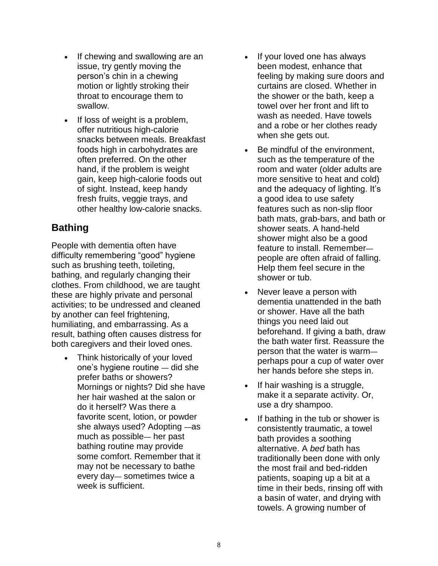- If chewing and swallowing are an issue, try gently moving the person's chin in a chewing motion or lightly stroking their throat to encourage them to swallow.
- If loss of weight is a problem, offer nutritious high-calorie snacks between meals. Breakfast foods high in carbohydrates are often preferred. On the other hand, if the problem is weight gain, keep high-calorie foods out of sight. Instead, keep handy fresh fruits, veggie trays, and other healthy low-calorie snacks.

# **Bathing**

People with dementia often have difficulty remembering "good" hygiene such as brushing teeth, toileting, bathing, and regularly changing their clothes. From childhood, we are taught these are highly private and personal activities; to be undressed and cleaned by another can feel frightening, humiliating, and embarrassing. As a result, bathing often causes distress for both caregivers and their loved ones.

• Think historically of your loved one's hygiene routine — did she prefer baths or showers? Mornings or nights? Did she have her hair washed at the salon or do it herself? Was there a favorite scent, lotion, or powder she always used? Adopting —as much as possible— her past bathing routine may provide some comfort. Remember that it may not be necessary to bathe every day— sometimes twice a week is sufficient.

- If your loved one has always been modest, enhance that feeling by making sure doors and curtains are closed. Whether in the shower or the bath, keep a towel over her front and lift to wash as needed. Have towels and a robe or her clothes ready when she gets out.
- Be mindful of the environment, such as the temperature of the room and water (older adults are more sensitive to heat and cold) and the adequacy of lighting. It's a good idea to use safety features such as non-slip floor bath mats, grab-bars, and bath or shower seats. A hand-held shower might also be a good feature to install. Remember people are often afraid of falling. Help them feel secure in the shower or tub.
- Never leave a person with dementia unattended in the bath or shower. Have all the bath things you need laid out beforehand. If giving a bath, draw the bath water first. Reassure the person that the water is warm perhaps pour a cup of water over her hands before she steps in.
- If hair washing is a struggle, make it a separate activity. Or, use a dry shampoo.
- If bathing in the tub or shower is consistently traumatic, a towel bath provides a soothing alternative. A *bed* bath has traditionally been done with only the most frail and bed-ridden patients, soaping up a bit at a time in their beds, rinsing off with a basin of water, and drying with towels. A growing number of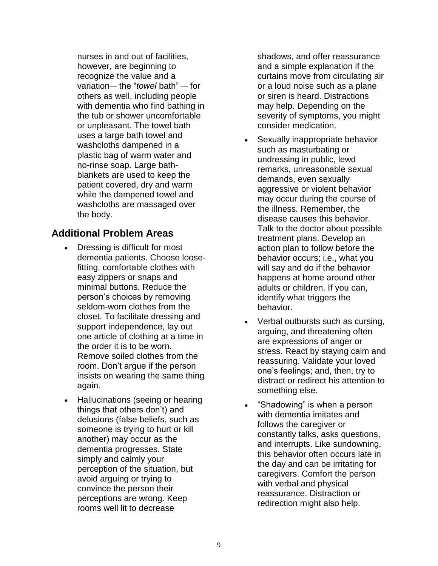nurses in and out of facilities, however, are beginning to recognize the value and a variation— the "*towel* bath" — for others as well, including people with dementia who find bathing in the tub or shower uncomfortable or unpleasant. The towel bath uses a large bath towel and washcloths dampened in a plastic bag of warm water and no-rinse soap. Large bathblankets are used to keep the patient covered, dry and warm while the dampened towel and washcloths are massaged over the body.

## **Additional Problem Areas**

- Dressing is difficult for most dementia patients. Choose loosefitting, comfortable clothes with easy zippers or snaps and minimal buttons. Reduce the person's choices by removing seldom-worn clothes from the closet. To facilitate dressing and support independence, lay out one article of clothing at a time in the order it is to be worn. Remove soiled clothes from the room. Don't argue if the person insists on wearing the same thing again.
- Hallucinations (seeing or hearing things that others don't) and delusions (false beliefs, such as someone is trying to hurt or kill another) may occur as the dementia progresses. State simply and calmly your perception of the situation, but avoid arguing or trying to convince the person their perceptions are wrong. Keep rooms well lit to decrease

shadows, and offer reassurance and a simple explanation if the curtains move from circulating air or a loud noise such as a plane or siren is heard. Distractions may help. Depending on the severity of symptoms, you might consider medication.

- Sexually inappropriate behavior such as masturbating or undressing in public, lewd remarks, unreasonable sexual demands, even sexually aggressive or violent behavior may occur during the course of the illness. Remember, the disease causes this behavior. Talk to the doctor about possible treatment plans. Develop an action plan to follow before the behavior occurs; i.e., what you will say and do if the behavior happens at home around other adults or children. If you can, identify what triggers the behavior.
- Verbal outbursts such as cursing, arguing, and threatening often are expressions of anger or stress. React by staying calm and reassuring. Validate your loved one's feelings; and, then, try to distract or redirect his attention to something else.
- "Shadowing" is when a person with dementia imitates and follows the caregiver or constantly talks, asks questions, and interrupts. Like sundowning, this behavior often occurs late in the day and can be irritating for caregivers. Comfort the person with verbal and physical reassurance. Distraction or redirection might also help.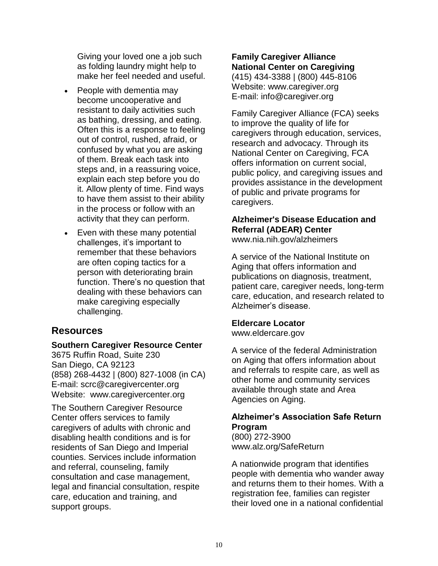Giving your loved one a job such as folding laundry might help to make her feel needed and useful.

- People with dementia may become uncooperative and resistant to daily activities such as bathing, dressing, and eating. Often this is a response to feeling out of control, rushed, afraid, or confused by what you are asking of them. Break each task into steps and, in a reassuring voice, explain each step before you do it. Allow plenty of time. Find ways to have them assist to their ability in the process or follow with an activity that they can perform.
- Even with these many potential challenges, it's important to remember that these behaviors are often coping tactics for a person with deteriorating brain function. There's no question that dealing with these behaviors can make caregiving especially challenging.

## **Resources**

#### **Southern Caregiver Resource Center**

3675 Ruffin Road, Suite 230 San Diego, CA 92123 (858) 268-4432 | (800) 827-1008 (in CA) E-mail: scrc@caregivercenter.org Website: www.caregivercenter.org

The Southern Caregiver Resource Center offers services to family caregivers of adults with chronic and disabling health conditions and is for residents of San Diego and Imperial counties. Services include information and referral, counseling, family consultation and case management, legal and financial consultation, respite care, education and training, and support groups.

**Family Caregiver Alliance National Center on Caregiving** (415) 434-3388 | (800) 445-8106 Website: www.caregiver.org E-mail: info@caregiver.org

Family Caregiver Alliance (FCA) seeks to improve the quality of life for caregivers through education, services, research and advocacy. Through its National Center on Caregiving, FCA offers information on current social, public policy, and caregiving issues and provides assistance in the development of public and private programs for caregivers.

#### **Alzheimer's Disease Education and Referral (ADEAR) Center**

www.nia.nih.gov/alzheimers

A service of the National Institute on Aging that offers information and publications on diagnosis, treatment, patient care, caregiver needs, long-term care, education, and research related to Alzheimer's disease.

#### **Eldercare Locator**

www.eldercare.gov

A service of the federal Administration on Aging that offers information about and referrals to respite care, as well as other home and community services available through state and Area Agencies on Aging.

#### **Alzheimer's Association Safe Return Program**

(800) 272-3900 www.alz.org/SafeReturn

A nationwide program that identifies people with dementia who wander away and returns them to their homes. With a registration fee, families can register their loved one in a national confidential